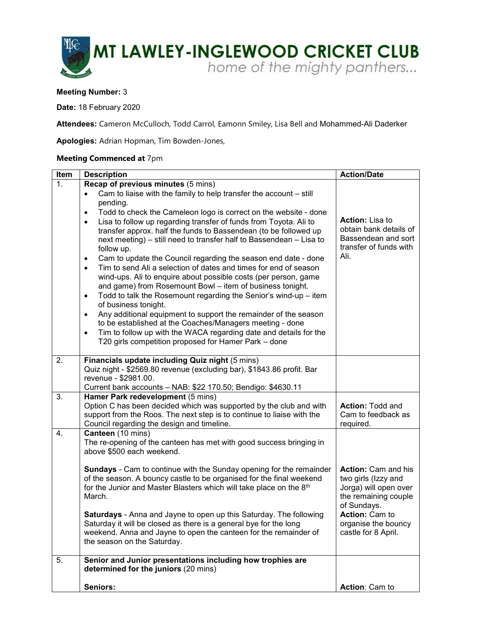

## **Meeting Number:** 3

**Date:** 18 February 2020

**Attendees:** Cameron McCulloch, Todd Carrol, Eamonn Smiley, Lisa Bell and Mohammed-Ali Daderker

**Apologies:** Adrian Hopman, Tim Bowden-Jones,

## **Meeting Commenced at** 7pm

| Item | <b>Description</b>                                                                                                                                                                                                                                                                                                                                                                                                                                                                                                                                                                                                                                                                                                                                                                                                                                                                                                                                                                                                                                             | <b>Action/Date</b>                                                                                         |
|------|----------------------------------------------------------------------------------------------------------------------------------------------------------------------------------------------------------------------------------------------------------------------------------------------------------------------------------------------------------------------------------------------------------------------------------------------------------------------------------------------------------------------------------------------------------------------------------------------------------------------------------------------------------------------------------------------------------------------------------------------------------------------------------------------------------------------------------------------------------------------------------------------------------------------------------------------------------------------------------------------------------------------------------------------------------------|------------------------------------------------------------------------------------------------------------|
| 1.   | <b>Recap of previous minutes (5 mins)</b>                                                                                                                                                                                                                                                                                                                                                                                                                                                                                                                                                                                                                                                                                                                                                                                                                                                                                                                                                                                                                      |                                                                                                            |
|      | Cam to liaise with the family to help transfer the account - still<br>$\bullet$<br>pending.<br>Todd to check the Cameleon logo is correct on the website - done<br>$\bullet$<br>Lisa to follow up regarding transfer of funds from Toyota. Ali to<br>$\bullet$<br>transfer approx. half the funds to Bassendean (to be followed up<br>next meeting) – still need to transfer half to Bassendean – Lisa to<br>follow up.<br>Cam to update the Council regarding the season end date - done<br>$\bullet$<br>Tim to send Ali a selection of dates and times for end of season<br>$\bullet$<br>wind-ups. Ali to enquire about possible costs (per person, game<br>and game) from Rosemount Bowl - item of business tonight.<br>Todd to talk the Rosemount regarding the Senior's wind-up - item<br>$\bullet$<br>of business tonight.<br>Any additional equipment to support the remainder of the season<br>$\bullet$<br>to be established at the Coaches/Managers meeting - done<br>Tim to follow up with the WACA regarding date and details for the<br>$\bullet$ | <b>Action: Lisa to</b><br>obtain bank details of<br>Bassendean and sort<br>transfer of funds with<br>Ali.  |
| 2.   | T20 girls competition proposed for Hamer Park - done<br>Financials update including Quiz night (5 mins)                                                                                                                                                                                                                                                                                                                                                                                                                                                                                                                                                                                                                                                                                                                                                                                                                                                                                                                                                        |                                                                                                            |
|      | Quiz night - \$2569.80 revenue (excluding bar), \$1843.86 profit. Bar<br>revenue - \$2981.00.<br>Current bank accounts - NAB: \$22 170.50; Bendigo: \$4630.11                                                                                                                                                                                                                                                                                                                                                                                                                                                                                                                                                                                                                                                                                                                                                                                                                                                                                                  |                                                                                                            |
| 3.   | Hamer Park redevelopment (5 mins)<br>Option C has been decided which was supported by the club and with<br>support from the Roos. The next step is to continue to liaise with the<br>Council regarding the design and timeline.                                                                                                                                                                                                                                                                                                                                                                                                                                                                                                                                                                                                                                                                                                                                                                                                                                | <b>Action: Todd and</b><br>Cam to feedback as<br>required.                                                 |
| 4.   | Canteen (10 mins)<br>The re-opening of the canteen has met with good success bringing in<br>above \$500 each weekend.                                                                                                                                                                                                                                                                                                                                                                                                                                                                                                                                                                                                                                                                                                                                                                                                                                                                                                                                          |                                                                                                            |
|      | <b>Sundays</b> - Cam to continue with the Sunday opening for the remainder<br>of the season. A bouncy castle to be organised for the final weekend<br>for the Junior and Master Blasters which will take place on the 8th<br>March.                                                                                                                                                                                                                                                                                                                                                                                                                                                                                                                                                                                                                                                                                                                                                                                                                            | Action: Cam and his<br>two girls (Izzy and<br>Jorga) will open over<br>the remaining couple<br>of Sundays. |
|      | Saturdays - Anna and Jayne to open up this Saturday. The following<br>Saturday it will be closed as there is a general bye for the long<br>weekend. Anna and Jayne to open the canteen for the remainder of<br>the season on the Saturday.                                                                                                                                                                                                                                                                                                                                                                                                                                                                                                                                                                                                                                                                                                                                                                                                                     | Action: Cam to<br>organise the bouncy<br>castle for 8 April.                                               |
| 5.   | Senior and Junior presentations including how trophies are<br>determined for the juniors (20 mins)                                                                                                                                                                                                                                                                                                                                                                                                                                                                                                                                                                                                                                                                                                                                                                                                                                                                                                                                                             |                                                                                                            |
|      | Seniors:                                                                                                                                                                                                                                                                                                                                                                                                                                                                                                                                                                                                                                                                                                                                                                                                                                                                                                                                                                                                                                                       | Action: Cam to                                                                                             |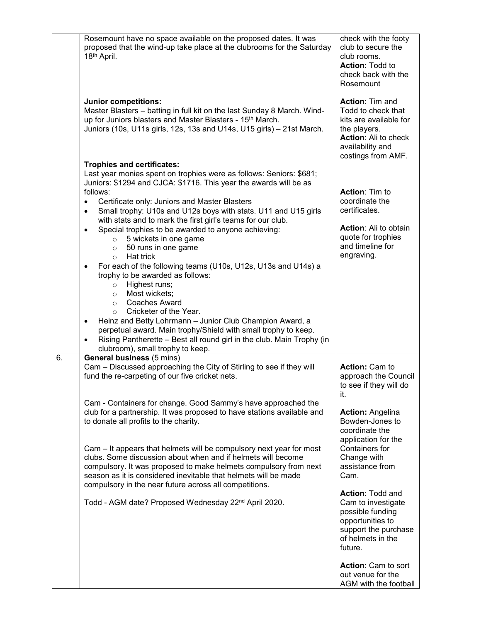|    | Rosemount have no space available on the proposed dates. It was<br>proposed that the wind-up take place at the clubrooms for the Saturday<br>18th April.                                                                                                                                                                                                                                                                                                                                                                                                                                                                                                                                                                                                                                                                                                                                                           | check with the footy<br>club to secure the<br>club rooms.<br><b>Action: Todd to</b><br>check back with the<br>Rosemount                                         |
|----|--------------------------------------------------------------------------------------------------------------------------------------------------------------------------------------------------------------------------------------------------------------------------------------------------------------------------------------------------------------------------------------------------------------------------------------------------------------------------------------------------------------------------------------------------------------------------------------------------------------------------------------------------------------------------------------------------------------------------------------------------------------------------------------------------------------------------------------------------------------------------------------------------------------------|-----------------------------------------------------------------------------------------------------------------------------------------------------------------|
|    | Junior competitions:<br>Master Blasters - batting in full kit on the last Sunday 8 March. Wind-<br>up for Juniors blasters and Master Blasters - 15 <sup>th</sup> March.<br>Juniors (10s, U11s girls, 12s, 13s and U14s, U15 girls) - 21st March.                                                                                                                                                                                                                                                                                                                                                                                                                                                                                                                                                                                                                                                                  | <b>Action: Tim and</b><br>Todd to check that<br>kits are available for<br>the players.<br><b>Action: Ali to check</b><br>availability and<br>costings from AMF. |
|    | <b>Trophies and certificates:</b>                                                                                                                                                                                                                                                                                                                                                                                                                                                                                                                                                                                                                                                                                                                                                                                                                                                                                  |                                                                                                                                                                 |
|    | Last year monies spent on trophies were as follows: Seniors: \$681;<br>Juniors: \$1294 and CJCA: \$1716. This year the awards will be as<br>follows:<br>Certificate only: Juniors and Master Blasters<br>$\bullet$<br>Small trophy: U10s and U12s boys with stats. U11 and U15 girls<br>with stats and to mark the first girl's teams for our club.<br>Special trophies to be awarded to anyone achieving:<br>$\bullet$<br>5 wickets in one game<br>$\circ$<br>50 runs in one game<br>$\circ$<br>Hat trick<br>$\circ$<br>For each of the following teams (U10s, U12s, U13s and U14s) a<br>$\bullet$<br>trophy to be awarded as follows:<br>Highest runs;<br>$\circ$<br>Most wickets;<br>$\circ$<br><b>Coaches Award</b><br>$\circ$<br>Cricketer of the Year.<br>$\circ$<br>Heinz and Betty Lohrmann - Junior Club Champion Award, a<br>$\bullet$<br>perpetual award. Main trophy/Shield with small trophy to keep. | <b>Action: Tim to</b><br>coordinate the<br>certificates.<br><b>Action:</b> Ali to obtain<br>quote for trophies<br>and timeline for<br>engraving.                |
|    | Rising Pantherette - Best all round girl in the club. Main Trophy (in<br>clubroom), small trophy to keep.                                                                                                                                                                                                                                                                                                                                                                                                                                                                                                                                                                                                                                                                                                                                                                                                          |                                                                                                                                                                 |
| 6. | <b>General business (5 mins)</b><br>Cam - Discussed approaching the City of Stirling to see if they will<br>fund the re-carpeting of our five cricket nets.                                                                                                                                                                                                                                                                                                                                                                                                                                                                                                                                                                                                                                                                                                                                                        | <b>Action: Cam to</b><br>approach the Council<br>to see if they will do<br>it.                                                                                  |
|    | Cam - Containers for change. Good Sammy's have approached the<br>club for a partnership. It was proposed to have stations available and<br>to donate all profits to the charity.                                                                                                                                                                                                                                                                                                                                                                                                                                                                                                                                                                                                                                                                                                                                   | <b>Action: Angelina</b><br>Bowden-Jones to<br>coordinate the<br>application for the                                                                             |
|    | Cam – It appears that helmets will be compulsory next year for most<br>clubs. Some discussion about when and if helmets will become<br>compulsory. It was proposed to make helmets compulsory from next<br>season as it is considered inevitable that helmets will be made<br>compulsory in the near future across all competitions.                                                                                                                                                                                                                                                                                                                                                                                                                                                                                                                                                                               | Containers for<br>Change with<br>assistance from<br>Cam.                                                                                                        |
|    | Todd - AGM date? Proposed Wednesday 22 <sup>nd</sup> April 2020.                                                                                                                                                                                                                                                                                                                                                                                                                                                                                                                                                                                                                                                                                                                                                                                                                                                   | <b>Action: Todd and</b><br>Cam to investigate<br>possible funding<br>opportunities to<br>support the purchase<br>of helmets in the<br>future.                   |
|    |                                                                                                                                                                                                                                                                                                                                                                                                                                                                                                                                                                                                                                                                                                                                                                                                                                                                                                                    | Action: Cam to sort<br>out venue for the<br>AGM with the football                                                                                               |